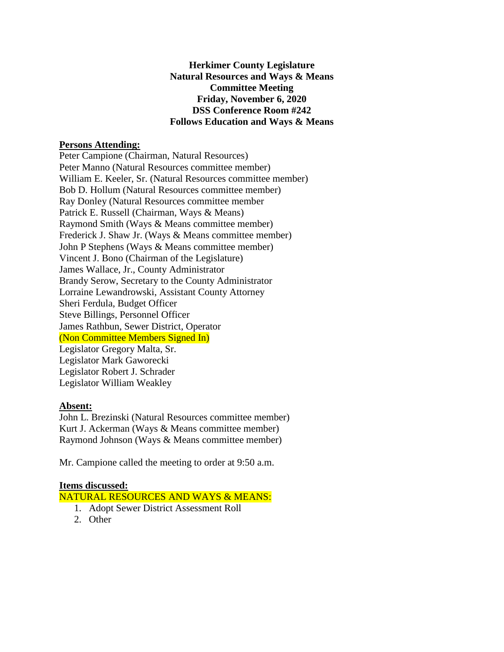**Herkimer County Legislature Natural Resources and Ways & Means Committee Meeting Friday, November 6, 2020 DSS Conference Room #242 Follows Education and Ways & Means**

### **Persons Attending:**

Peter Campione (Chairman, Natural Resources) Peter Manno (Natural Resources committee member) William E. Keeler, Sr. (Natural Resources committee member) Bob D. Hollum (Natural Resources committee member) Ray Donley (Natural Resources committee member Patrick E. Russell (Chairman, Ways & Means) Raymond Smith (Ways & Means committee member) Frederick J. Shaw Jr. (Ways & Means committee member) John P Stephens (Ways & Means committee member) Vincent J. Bono (Chairman of the Legislature) James Wallace, Jr., County Administrator Brandy Serow, Secretary to the County Administrator Lorraine Lewandrowski, Assistant County Attorney Sheri Ferdula, Budget Officer Steve Billings, Personnel Officer James Rathbun, Sewer District, Operator (Non Committee Members Signed In) Legislator Gregory Malta, Sr. Legislator Mark Gaworecki Legislator Robert J. Schrader Legislator William Weakley

#### **Absent:**

John L. Brezinski (Natural Resources committee member) Kurt J. Ackerman (Ways & Means committee member) Raymond Johnson (Ways & Means committee member)

Mr. Campione called the meeting to order at 9:50 a.m.

### **Items discussed:**

### NATURAL RESOURCES AND WAYS & MEANS:

- 1. Adopt Sewer District Assessment Roll
- 2. Other